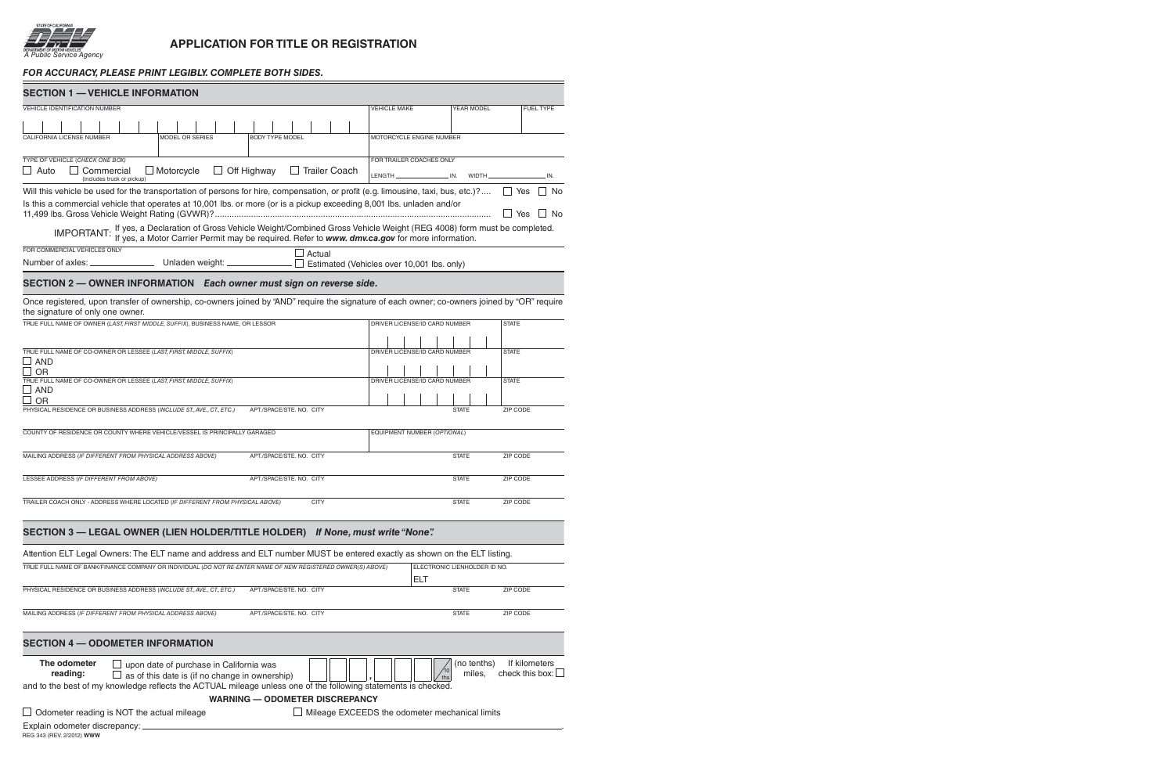

 $\equiv$ 

## **APPLICATION FOR TITLE OR REGISTRATION**

## *For accuracy, please print legibly. complete both sides.*

| <b>SECTION 1 - VEHICLE INFORMATION</b>                                                                                                                                                                                            |                                                |                              |                    |
|-----------------------------------------------------------------------------------------------------------------------------------------------------------------------------------------------------------------------------------|------------------------------------------------|------------------------------|--------------------|
| VEHICLE IDENTIFICATION NUMBER                                                                                                                                                                                                     | <b>VEHICLE MAKE</b>                            | YEAR MODEL                   | <b>FUEL TYPE</b>   |
|                                                                                                                                                                                                                                   |                                                |                              |                    |
| CALIFORNIA LICENSE NUMBER<br><b>MODEL OR SERIES</b><br><b>BODY TYPE MODEL</b>                                                                                                                                                     | MOTORCYCLE ENGINE NUMBER                       |                              |                    |
| TYPE OF VEHICLE (CHECK ONE BOX)                                                                                                                                                                                                   | FOR TRAILER COACHES ONLY                       |                              |                    |
| $\Box$ Off Highway<br>$\Box$ Trailer Coach<br>$\Box$ Motorcycle<br>$\Box$ Auto<br>Commercial<br>(includes truck or pickup)                                                                                                        |                                                |                              | . IN.              |
| Will this vehicle be used for the transportation of persons for hire, compensation, or profit (e.g. limousine, taxi, bus, etc.)? $\square$ Yes                                                                                    |                                                |                              | ∣ I No             |
| Is this a commercial vehicle that operates at 10,001 lbs. or more (or is a pickup exceeding 8,001 lbs. unladen and/or                                                                                                             |                                                |                              |                    |
|                                                                                                                                                                                                                                   |                                                |                              | $\Box$ Yes<br>l No |
| IMPORTANT: If yes, a Declaration of Gross Vehicle Weight/Combined Gross Vehicle Weight (REG 4008) form must be completed.<br>The US of the yes, a Motor Carrier Permit may be required. Refer to www. dmv.ca.gov for more informa |                                                |                              |                    |
| FOR COMMERCIAL VEHICLES ONLY<br>Actual<br>Number of axles: _________________________ Unladen weight: ________________ □ Estimated (Vehicles over 10,001 lbs. only)                                                                |                                                |                              |                    |
|                                                                                                                                                                                                                                   |                                                |                              |                    |
| SECTION 2 - OWNER INFORMATION Each owner must sign on reverse side.                                                                                                                                                               |                                                |                              |                    |
| Once registered, upon transfer of ownership, co-owners joined by "AND" require the signature of each owner; co-owners joined by "OR" require<br>the signature of only one owner.                                                  |                                                |                              |                    |
| TRUE FULL NAME OF OWNER (LAST, FIRST MIDDLE, SUFFIX), BUSINESS NAME, OR LESSOR                                                                                                                                                    | DRIVER LICENSE/ID CARD NUMBER                  |                              | <b>STATE</b>       |
|                                                                                                                                                                                                                                   |                                                |                              |                    |
| TRUE FULL NAME OF CO-OWNER OR LESSEE (LAST, FIRST, MIDDLE, SUFFIX)                                                                                                                                                                | DRIVER LICENSE/ID CARD NUMBER                  |                              | <b>STATE</b>       |
| $\square$ AND<br>$\Box$ OR                                                                                                                                                                                                        |                                                |                              |                    |
| TRUE FULL NAME OF CO-OWNER OR LESSEE (LAST, FIRST, MIDDLE, SUFFIX)                                                                                                                                                                | DRIVER LICENSE/ID CARD NUMBER                  |                              | <b>STATE</b>       |
| $\Box$ and                                                                                                                                                                                                                        |                                                |                              |                    |
| $\square$ or<br>PHYSICAL RESIDENCE OR BUSINESS ADDRESS (INCLUDE ST., AVE., CT., ETC.)<br>APT./SPACE/STE. NO. CITY                                                                                                                 |                                                | <b>STATE</b>                 | ZIP CODE           |
|                                                                                                                                                                                                                                   |                                                |                              |                    |
| COUNTY OF RESIDENCE OR COUNTY WHERE VEHICLE/VESSEL IS PRINCIPALLY GARAGED                                                                                                                                                         | EQUIPMENT NUMBER (OPTIONAL)                    |                              |                    |
| MAILING ADDRESS (IF DIFFERENT FROM PHYSICAL ADDRESS ABOVE)<br>APT./SPACE/STE. NO. CITY                                                                                                                                            |                                                | <b>STATE</b>                 | ZIP CODE           |
| LESSEE ADDRESS (IF DIFFERENT FROM ABOVE)<br>APT./SPACE/STE. NO. CITY                                                                                                                                                              |                                                | <b>STATE</b>                 | ZIP CODE           |
|                                                                                                                                                                                                                                   |                                                |                              |                    |
| TRAILER COACH ONLY - ADDRESS WHERE LOCATED (IF DIFFERENT FROM PHYSICAL ABOVE)<br><b>CITY</b>                                                                                                                                      |                                                | <b>STATE</b>                 | ZIP CODE           |
|                                                                                                                                                                                                                                   |                                                |                              |                    |
| SECTION 3 - LEGAL OWNER (LIEN HOLDER/TITLE HOLDER) If None, must write "None".                                                                                                                                                    |                                                |                              |                    |
| Attention ELT Legal Owners: The ELT name and address and ELT number MUST be entered exactly as shown on the ELT listing.                                                                                                          |                                                |                              |                    |
| TRUE FULL NAME OF BANK/FINANCE COMPANY OR INDIVIDUAL (DO NOT RE-ENTER NAME OF NEW REGISTERED OWNER(S) ABOVE)                                                                                                                      |                                                | ELECTRONIC LIENHOLDER ID NO. |                    |
|                                                                                                                                                                                                                                   | <b>ELT</b>                                     |                              |                    |
| PHYSICAL RESIDENCE OR BUSINESS ADDRESS (INCLUDE ST., AVE., CT., ETC.)<br>APT./SPACE/STE. NO. CITY                                                                                                                                 |                                                | <b>STATE</b>                 | ZIP CODE           |
| MAILING ADDRESS (IF DIFFERENT FROM PHYSICAL ADDRESS ABOVE)<br>APT./SPACE/STE. NO. CITY                                                                                                                                            |                                                | <b>STATE</b>                 | ZIP CODE           |
| <b>SECTION 4 - ODOMETER INFORMATION</b>                                                                                                                                                                                           |                                                |                              |                    |
| The odometer                                                                                                                                                                                                                      |                                                | (no tenths)                  | If kilometers      |
| upon date of purchase in California was<br>reading:<br>as of this date is (if no change in ownership)                                                                                                                             | 10                                             | miles,                       | check this box:    |
| and to the best of my knowledge reflects the ACTUAL mileage unless one of the following statements is checked.                                                                                                                    |                                                |                              |                    |
| <b>WARNING - ODOMETER DISCREPANCY</b>                                                                                                                                                                                             |                                                |                              |                    |
| $\Box$ Odometer reading is NOT the actual mileage                                                                                                                                                                                 | Mileage EXCEEDS the odometer mechanical limits |                              |                    |
| Explain odometer discrepancy: _                                                                                                                                                                                                   |                                                |                              |                    |
| REG 343 (REV. 2/2012) WWW                                                                                                                                                                                                         |                                                |                              |                    |